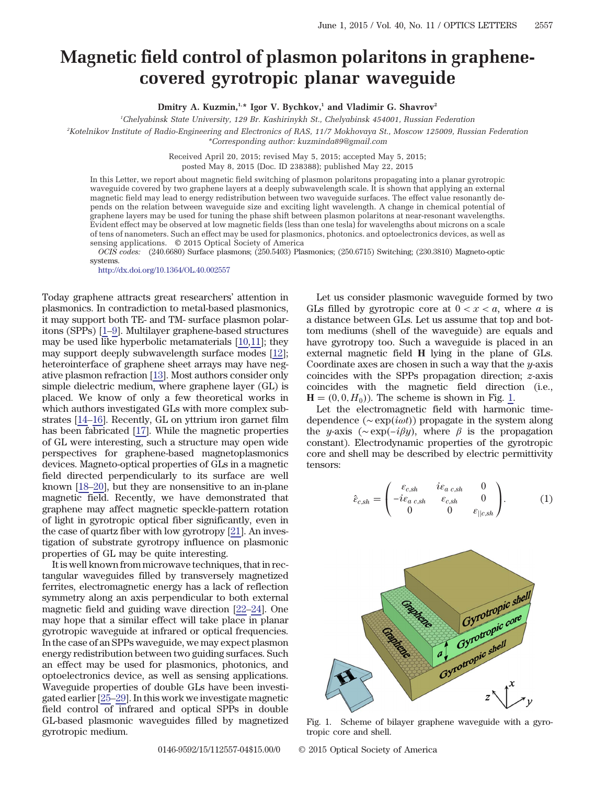## Magnetic field control of plasmon polaritons in graphenecovered gyrotropic planar waveguide

Dmitry A. Kuzmin,<sup>1,\*</sup> Igor V. Bychkov,<sup>1</sup> and Vladimir G. Shavrov<sup>2</sup>

1 Chelyabinsk State University, 129 Br. Kashirinykh St., Chelyabinsk 454001, Russian Federation

2 Kotelnikov Institute of Radio-Engineering and Electronics of RAS, 11/7 Mokhovaya St., Moscow 125009, Russian Federation \*Corresponding author: kuzminda89@gmail.com

> Received April 20, 2015; revised May 5, 2015; accepted May 5, 2015; posted May 8, 2015 (Doc. ID 238388); published May 22, 2015

In this Letter, we report about magnetic field switching of plasmon polaritons propagating into a planar gyrotropic waveguide covered by two graphene layers at a deeply subwavelength scale. It is shown that applying an external magnetic field may lead to energy redistribution between two waveguide surfaces. The effect value resonantly depends on the relation between waveguide size and exciting light wavelength. A change in chemical potential of graphene layers may be used for tuning the phase shift between plasmon polaritons at near-resonant wavelengths. Evident effect may be observed at low magnetic fields (less than one tesla) for wavelengths about microns on a scale of tens of nanometers. Such an effect may be used for plasmonics, photonics. and optoelectronics devices, as well as sensing applications. © 2015 Optical Society of America

OCIS codes: (240.6680) Surface plasmons; (250.5403) Plasmonics; (250.6715) Switching; (230.3810) Magneto-optic systems.

<http://dx.doi.org/10.1364/OL.40.002557>

Today graphene attracts great researchers' attention in plasmonics. In contradiction to metal-based plasmonics, it may support both TE- and TM- surface plasmon polaritons (SPPs) [\[1](#page-3-0)–[9](#page-3-1)]. Multilayer graphene-based structures may be used like hyperbolic metamaterials [[10](#page-3-2)[,11](#page-3-3)]; they may support deeply subwavelength surface modes [\[12](#page-3-4)]; heterointerface of graphene sheet arrays may have negative plasmon refraction [[13\]](#page-3-5). Most authors consider only simple dielectric medium, where graphene layer (GL) is placed. We know of only a few theoretical works in which authors investigated GLs with more complex substrates [\[14](#page-3-6)–[16](#page-3-7)]. Recently, GL on yttrium iron garnet film has been fabricated [[17\]](#page-3-8). While the magnetic properties of GL were interesting, such a structure may open wide perspectives for graphene-based magnetoplasmonics devices. Magneto-optical properties of GLs in a magnetic field directed perpendicularly to its surface are well known [\[18](#page-3-9)–[20](#page-3-10)], but they are nonsensitive to an in-plane magnetic field. Recently, we have demonstrated that graphene may affect magnetic speckle-pattern rotation of light in gyrotropic optical fiber significantly, even in the case of quartz fiber with low gyrotropy [\[21](#page-3-11)]. An investigation of substrate gyrotropy influence on plasmonic properties of GL may be quite interesting.

It is well known from microwave techniques, that in rectangular waveguides filled by transversely magnetized ferrites, electromagnetic energy has a lack of reflection symmetry along an axis perpendicular to both external magnetic field and guiding wave direction [[22](#page-3-12)–[24\]](#page-3-13). One may hope that a similar effect will take place in planar gyrotropic waveguide at infrared or optical frequencies. In the case of an SPPs waveguide, we may expect plasmon energy redistribution between two guiding surfaces. Such an effect may be used for plasmonics, photonics, and optoelectronics device, as well as sensing applications. Waveguide properties of double GLs have been investigated earlier [[25](#page-3-14)–[29\]](#page-3-15). In this work we investigate magnetic field control of infrared and optical SPPs in double GL-based plasmonic waveguides filled by magnetized gyrotropic medium.

Let us consider plasmonic waveguide formed by two GLs filled by gyrotropic core at  $0 < x < a$ , where a is a distance between GLs. Let us assume that top and bottom mediums (shell of the waveguide) are equals and have gyrotropy too. Such a waveguide is placed in an external magnetic field H lying in the plane of GLs. Coordinate axes are chosen in such a way that the  $y$ -axis coincides with the SPPs propagation direction; z-axis coincides with the magnetic field direction (i.e.,  $H = (0, 0, H_0)$ . The scheme is shown in Fig. [1](#page-0-0).

Let the electromagnetic field with harmonic timedependence ( $\sim \exp(i\omega t)$ ) propagate in the system along the y-axis ( $\sim \exp(-i\beta y)$ , where  $\beta$  is the propagation constant). Electrodynamic properties of the gyrotropic core and shell may be described by electric permittivity −tensors:

$$
\hat{\varepsilon}_{c,sh} = \begin{pmatrix}\n\varepsilon_{c,sh} & i\varepsilon_{a\ c,sh} & 0 \\
-i\varepsilon_{a\ c,sh} & \varepsilon_{c,sh} & 0 \\
0 & 0 & \varepsilon_{||c,sh}\n\end{pmatrix}.
$$
\n(1)

<span id="page-0-0"></span>

Fig. 1. Scheme of bilayer graphene waveguide with a gyrotropic core and shell.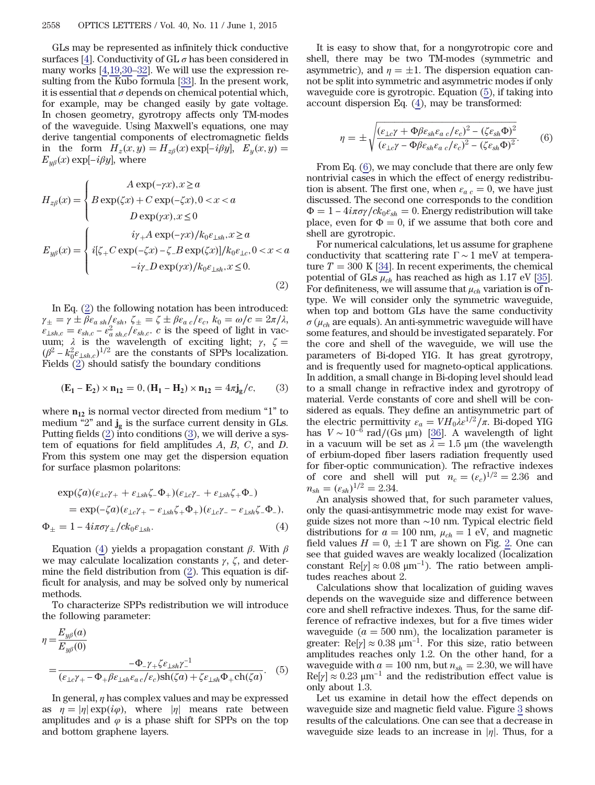GLs may be represented as infinitely thick conductive surfaces [[4](#page-3-16)]. Conductivity of  $GL \sigma$  has been considered in many works [[4,](#page-3-16)[19,](#page-3-17)[30](#page-3-18)–[32](#page-3-19)]. We will use the expression resulting from the Kubo formula [[33\]](#page-3-20). In the present work, it is essential that  $\sigma$  depends on chemical potential which, for example, may be changed easily by gate voltage. In chosen geometry, gyrotropy affects only TM-modes of the waveguide. Using Maxwell's equations, one may derive tangential components of electromagnetic fields In chosen geometry, gyrotropy affects only TM-modes<br>of the waveguide. Using Maxwell's equations, one may<br>derive tangential components of electromagnetic fields<br>in the form  $H_z(x, y) = H_{z\beta}(x) \exp[-i\beta y]$ ,  $E_y(x, y) =$ for the waveguide. Using<br>derive tangential components of the form  $H_z(x, y)$ <br> $E_{y\beta}(x) \exp[-i\beta y]$ , where  $(x, y) = H_{z\beta}(x)$  ex<br>here<br>A exp(-γx),  $x \ge a$ 

<span id="page-1-0"></span>
$$
E_{y\beta}(x) \exp[-i\beta y], \text{ where}
$$
  
\n
$$
H_{z\beta}(x) = \begin{cases} A \exp(-\gamma x), x \ge a \\ B \exp(\zeta x) + C \exp(-\zeta x), 0 < x < a \end{cases}
$$
  
\n
$$
D \exp(\gamma x), x \le 0
$$
  
\n
$$
E_{y\beta}(x) = \begin{cases} i\gamma_+ A \exp(-\gamma x) / k_0 \varepsilon_{\perp sh}, x \ge a \\ i[\zeta_+ C \exp(-\zeta x) - \zeta_- B \exp(\zeta x)] / k_0 \varepsilon_{\perp ch}, 0 < x < a \\ -i\gamma_- D \exp(\gamma x) / k_0 \varepsilon_{\perp sh}, x \le 0. \end{cases}
$$
  
\n(2)

In Eq. ([2\)](#page-1-0) the following notation has been introduced:  $\gamma_{\pm} = \gamma \pm \beta \varepsilon_{a \, sh}/\varepsilon_{sh}, \zeta_{\pm} = \zeta \pm \beta \varepsilon_{a \, c}/\varepsilon_{c}, \, k_{0} = \omega/c = 2\pi/\lambda,$ In Eq. (2) the following notation has been introduced:<br> $\gamma_{\pm} = \gamma \pm \beta \varepsilon_{a \, sh}/\varepsilon_{sh}, \zeta_{\pm} = \zeta \pm \beta \varepsilon_{a \, c}/\varepsilon_{c}, k_0 = \omega/c = 2\pi/\lambda,$ <br> $\varepsilon_{\pm sh,c} = \varepsilon_{sh,c} - \varepsilon_{a \, sh,c}^2/\varepsilon_{sh,c}. c$  is the speed of light in vacuum;  $\lambda$  is the wavelength of exciting light;  $\gamma$ ,  $\zeta =$  $\gamma_{\pm} = \gamma$ <br>  $\varepsilon_{\perp sh,c} =$ <br>
uum;  $\lambda$ <br>  $(\beta^2 - k_0^2)$  $\int_{-k_0^2 \epsilon_{\perp sh,c}}^{k_0^2 \epsilon_{\perp sh,c}}^{1/2}$  are the constants of SPPs localization.<br>ds (2) should satisfy the boundary conditions<br> $(E_1 - E_2) \times n_{12} = 0$ ,  $(H_1 - H_2) \times n_{12} = 4\pi j_g/c$ , (3) Fields ([2\)](#page-1-0) should satisfy the boundary conditions

<span id="page-1-1"></span>
$$
(\mathbf{E}_1 - \mathbf{E}_2) \times \mathbf{n}_{12} = 0, (\mathbf{H}_1 - \mathbf{H}_2) \times \mathbf{n}_{12} = 4\pi \mathbf{j}_g/c,
$$
 (3)

where  $n_{12}$  is normal vector directed from medium "1" to medium "2" and  $\mathbf{j}_{g}$  is the surface current density in GLs. Putting fields [\(2](#page-1-0)) into conditions ([3\)](#page-1-1), we will derive a system of equations for field amplitudes A, B, C, and D. From this system one may get the dispersion equation

<span id="page-1-2"></span>for surface plasmon polaritons:  
\n
$$
\exp(\zeta a)(\varepsilon_{\perp c}\gamma_+ + \varepsilon_{\perp sh}\zeta_- \Phi_+)(\varepsilon_{\perp c}\gamma_- + \varepsilon_{\perp sh}\zeta_+ \Phi_-)
$$
\n
$$
= \exp(-\zeta a)(\varepsilon_{\perp c}\gamma_+ - \varepsilon_{\perp sh}\zeta_+ \Phi_+)(\varepsilon_{\perp c}\gamma_- - \varepsilon_{\perp sh}\zeta_- \Phi_-),
$$
\n
$$
\Phi_{\pm} = 1 - 4i\pi\sigma\gamma_{\pm}/ck_0\varepsilon_{\perp sh}.
$$
\n(4)

Equation ([4\)](#page-1-2) yields a propagation constant β. With β we may calculate localization constants  $\gamma$ ,  $\zeta$ , and determine the field distribution from ([2\)](#page-1-0). This equation is difficult for analysis, and may be solved only by numerical methods.

<span id="page-1-3"></span>To characterize SPPs redistribution we will introduce the following parameter:

$$
\eta = \frac{E_{y\beta}(a)}{E_{y\beta}(0)}
$$
  
= 
$$
\frac{-\Phi_{-\gamma_+}\zeta\varepsilon_{\perp sh}\gamma_{-}^{-1}}{(\varepsilon_{\perp c}\gamma_{+} - \Phi_{+}\beta\varepsilon_{\perp sh}\varepsilon_{\alpha}c/\varepsilon_{c})\text{sh}(\zeta a) + \zeta\varepsilon_{\perp sh}\Phi_{+}\text{ch}(\zeta a)}.
$$
 (5)

In general,  $\eta$  has complex values and may be expressed as  $\eta = |\eta| \exp(i\varphi)$ , where  $|\eta|$  means rate between amplitudes and  $\varphi$  is a phase shift for SPPs on the top and bottom graphene layers.

It is easy to show that, for a nongyrotropic core and shell, there may be two TM-modes (symmetric and asymmetric), and  $\eta = \pm 1$ . The dispersion equation cannot be split into symmetric and asymmetric modes if only waveguide core is gyrotropic. Equation ([5\)](#page-1-3), if taking into<br>account dispersion Eq. (4), may be transformed:<br> $n = \pm \sqrt{\frac{(\epsilon_{\perp c} \gamma + \Phi \beta \epsilon_{sh} \epsilon_a c/\epsilon_c)^2 - (\zeta \epsilon_{sh} \Phi)^2}{6}}$ 

<span id="page-1-4"></span>account dispersion Eq. (4), may be transformed:  
\n
$$
\eta = \pm \sqrt{\frac{(\varepsilon_{\perp c} \gamma + \Phi \beta \varepsilon_{sh} \varepsilon_{a c}/\varepsilon_{c})^2 - (\zeta \varepsilon_{sh} \Phi)^2}{(\varepsilon_{\perp c} \gamma - \Phi \beta \varepsilon_{sh} \varepsilon_{a c}/\varepsilon_{c})^2 - (\zeta \varepsilon_{sh} \Phi)^2}}.
$$
\n(6)

From Eq. ([6\)](#page-1-4), we may conclude that there are only few nontrivial cases in which the effect of energy redistribution is absent. The first one, when  $\varepsilon_{a c} = 0$ , we have just discussed. The second one corresponds to the condition From Eq. (g), we hay conclude that there are only rew<br>nontrivial cases in which the effect of energy redistribu-<br>tion is absent. The first one, when  $\varepsilon_{a,c} = 0$ , we have just<br>discussed. The second one corresponds to the place, even for  $\Phi = 0$ , if we assume that both core and shell are gyrotropic.

For numerical calculations, let us assume for graphene conductivity that scattering rate  $\Gamma \sim 1$  meV at temperature  $T = 300$  K [[34\]](#page-3-21). In recent experiments, the chemical potential of GLs  $\mu_{ch}$  has reached as high as 1.17 eV [\[35](#page-3-22)]. For definiteness, we will assume that  $\mu_{ch}$  variation is of ntype. We will consider only the symmetric waveguide, when top and bottom GLs have the same conductivity  $\sigma(\mu_{ch})$  are equals). An anti-symmetric waveguide will have some features, and should be investigated separately. For the core and shell of the waveguide, we will use the parameters of Bi-doped YIG. It has great gyrotropy, and is frequently used for magneto-optical applications. In addition, a small change in Bi-doping level should lead to a small change in refractive index and gyrotropy of material. Verde constants of core and shell will be considered as equals. They define an antisymmetric part of the electric permittivity  $\varepsilon_a = V H_0 \lambda \varepsilon^{1/2} / \pi$ . Bi-doped YIG has  $V \sim 10^{-6}$  rad/(Gs  $\mu$ m) [\[36](#page-3-23)]. A wavelength of light in a vacuum will be set as  $\lambda = 1.5 \mu m$  (the wavelength of erbium-doped fiber lasers radiation frequently used for fiber-optic communication). The refractive indexes of core and shell will put  $n_c = (\varepsilon_c)^{1/2} = 2.36$  and  $n_{sh} = (\varepsilon_{sh})^{1/2} = 2.34.$ 

An analysis showed that, for such parameter values, only the quasi-antisymmetric mode may exist for waveguide sizes not more than ∼10 nm. Typical electric field distributions for  $a = 100$  nm,  $\mu_{ch} = 1$  eV, and magnetic field values  $H = 0, \pm 1$  T are shown on Fig. [2](#page-2-0). One can see that guided waves are weakly localized (localization constant Re[ $\gamma$ ] ≈ 0.08  $\mu$ m<sup>-1</sup>). The ratio between amplitudes reaches about 2.

Calculations show that localization of guiding waves depends on the waveguide size and difference between core and shell refractive indexes. Thus, for the same difference of refractive indexes, but for a five times wider waveguide ( $a = 500$  nm), the localization parameter is greater:  $\text{Re}[\gamma] \approx 0.38 \text{ }\mu\text{m}^{-1}$ . For this size, ratio between amplitudes reaches only 1.2. On the other hand, for a waveguide with  $a = 100$  nm, but  $n_{sh} = 2.30$ , we will have  $Re[\gamma] \approx 0.23 \mu m^{-1}$  and the redistribution effect value is only about 1.3.

Let us examine in detail how the effect depends on waveguide size and magnetic field value. Figure [3](#page-2-1) shows results of the calculations. One can see that a decrease in waveguide size leads to an increase in  $|\eta|$ . Thus, for a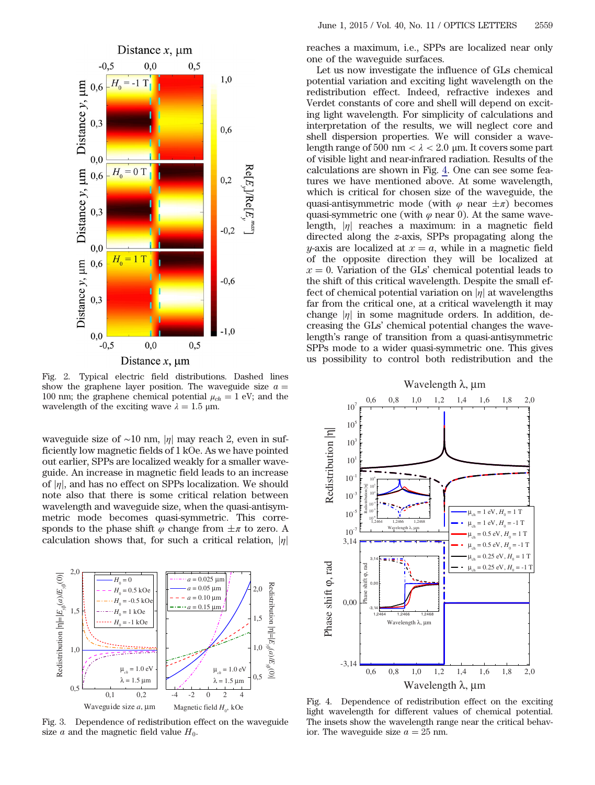<span id="page-2-0"></span>

Fig. 2. Typical electric field distributions. Dashed lines show the graphene layer position. The waveguide size  $a =$ 100 nm; the graphene chemical potential  $\mu_{ch} = 1$  eV; and the wavelength of the exciting wave  $\lambda = 1.5$  μm.

waveguide size of ~10 nm, |η| may reach 2, even in sufficiently low magnetic fields of 1 kOe. As we have pointed out earlier, SPPs are localized weakly for a smaller waveguide. An increase in magnetic field leads to an increase of  $|\eta|$ , and has no effect on SPPs localization. We should note also that there is some critical relation between wavelength and waveguide size, when the quasi-antisymmetric mode becomes quasi-symmetric. This corresponds to the phase shift  $\varphi$  change from  $\pm \pi$  to zero. A calculation shows that, for such a critical relation,  $|\eta|$ 

<span id="page-2-1"></span>

Fig. 3. Dependence of redistribution effect on the waveguide size a and the magnetic field value  $H_0$ .

reaches a maximum, i.e., SPPs are localized near only one of the waveguide surfaces.

Let us now investigate the influence of GLs chemical potential variation and exciting light wavelength on the redistribution effect. Indeed, refractive indexes and Verdet constants of core and shell will depend on exciting light wavelength. For simplicity of calculations and interpretation of the results, we will neglect core and shell dispersion properties. We will consider a wavelength range of 500 nm  $\langle \lambda \rangle$  2.0 µm. It covers some part of visible light and near-infrared radiation. Results of the calculations are shown in Fig. [4.](#page-2-2) One can see some features we have mentioned above. At some wavelength, which is critical for chosen size of the waveguide, the quasi-antisymmetric mode (with  $\varphi$  near  $\pm \pi$ ) becomes quasi-symmetric one (with  $\varphi$  near 0). At the same wavelength,  $|\eta|$  reaches a maximum: in a magnetic field directed along the z-axis, SPPs propagating along the y-axis are localized at  $x = a$ , while in a magnetic field of the opposite direction they will be localized at  $x = 0$ . Variation of the GLs' chemical potential leads to the shift of this critical wavelength. Despite the small effect of chemical potential variation on  $|\eta|$  at wavelengths far from the critical one, at a critical wavelength it may rar from the critical one, at a critical wavelength it may<br>change  $|\eta|$  in some magnitude orders. In addition, de-<br>creasing the GLs' chemical potential changes the wavecreasing the GLs' chemical potential changes the wavelength's range of transition from a quasi-antisymmetric SPPs mode to a wider quasi-symmetric one. This gives us possibility to control both redistribution and the

<span id="page-2-2"></span>

Fig. 4. Dependence of redistribution effect on the exciting light wavelength for different values of chemical potential. The insets show the wavelength range near the critical behavior. The waveguide size  $a = 25$  nm.